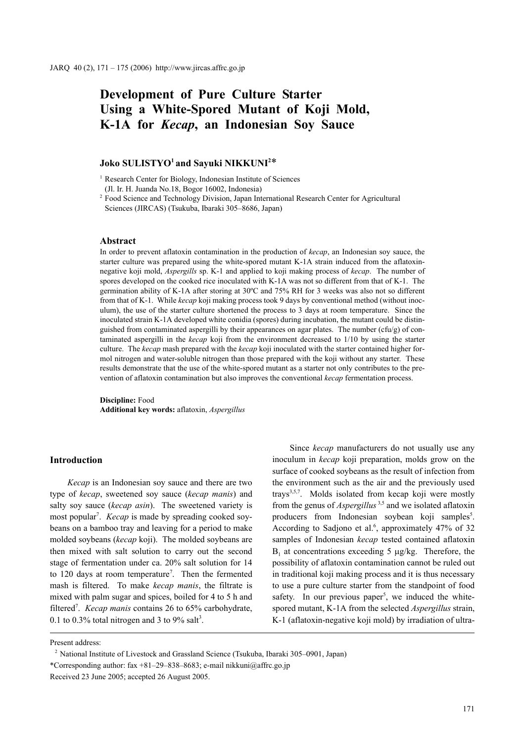# **Development of Pure Culture Starter Using a White-Spored Mutant of Koji Mold, K-1A for** *Kecap***, an Indonesian Soy Sauce**

# $\rm Joko~SULISTYO^1$  and Sayuki  $\rm NIKKUNI^{2*}$

<sup>1</sup> Research Center for Biology, Indonesian Institute of Sciences

(Jl. Ir. H. Juanda No.18, Bogor 16002, Indonesia)

<sup>2</sup> Food Science and Technology Division, Japan International Research Center for Agricultural Sciences (JIRCAS) (Tsukuba, Ibaraki 305–8686, Japan)

#### **Abstract**

In order to prevent aflatoxin contamination in the production of *kecap*, an Indonesian soy sauce, the starter culture was prepared using the white-spored mutant K-1A strain induced from the aflatoxinnegative koji mold, *Aspergills* sp. K-1 and applied to koji making process of *kecap*. The number of spores developed on the cooked rice inoculated with K-1A was not so different from that of K-1. The germination ability of K-1A after storing at 30ºC and 75% RH for 3 weeks was also not so different from that of K-1. While *kecap* koji making process took 9 days by conventional method (without inoculum), the use of the starter culture shortened the process to 3 days at room temperature. Since the inoculated strain K-1A developed white conidia (spores) during incubation, the mutant could be distinguished from contaminated aspergilli by their appearances on agar plates. The number  $(cfu/g)$  of contaminated aspergilli in the *kecap* koji from the environment decreased to 1/10 by using the starter culture. The *kecap* mash prepared with the *kecap* koji inoculated with the starter contained higher formol nitrogen and water-soluble nitrogen than those prepared with the koji without any starter. These results demonstrate that the use of the white-spored mutant as a starter not only contributes to the prevention of aflatoxin contamination but also improves the conventional *kecap* fermentation process.

**Discipline:** Food **Additional key words:** aflatoxin, *Aspergillus*

# **Introduction**

*Kecap* is an Indonesian soy sauce and there are two type of *kecap*, sweetened soy sauce (*kecap manis*) and salty soy sauce (*kecap asin*). The sweetened variety is most popular<sup>7</sup>. *Kecap* is made by spreading cooked soybeans on a bamboo tray and leaving for a period to make molded soybeans (*kecap* koji). The molded soybeans are then mixed with salt solution to carry out the second stage of fermentation under ca. 20% salt solution for 14 to 120 days at room temperature<sup>7</sup>. Then the fermented mash is filtered. To make *kecap manis*, the filtrate is mixed with palm sugar and spices, boiled for 4 to 5 h and filtered<sup>7</sup>. *Kecap manis* contains 26 to 65% carbohydrate, 0.1 to 0.3% total nitrogen and 3 to 9% salt<sup>3</sup>.

Since *kecap* manufacturers do not usually use any inoculum in *kecap* koji preparation, molds grow on the surface of cooked soybeans as the result of infection from the environment such as the air and the previously used trays<sup>3,5,7</sup>. Molds isolated from kecap koji were mostly from the genus of *Aspergillus* 3,5 and we isolated aflatoxin producers from Indonesian soybean koji samples<sup>5</sup>. According to Sadjono et al.<sup>6</sup>, approximately 47% of 32 samples of Indonesian *kecap* tested contained aflatoxin  $B_1$  at concentrations exceeding 5  $\mu$ g/kg. Therefore, the possibility of aflatoxin contamination cannot be ruled out in traditional koji making process and it is thus necessary to use a pure culture starter from the standpoint of food safety. In our previous paper<sup>5</sup>, we induced the whitespored mutant, K-1A from the selected *Aspergillus* strain, K-1 (aflatoxin-negative koji mold) by irradiation of ultra-

Present address:

<sup>2</sup> National Institute of Livestock and Grassland Science (Tsukuba, Ibaraki 305–0901, Japan) \*Corresponding author: fax +81–29–838–8683; e-mail nikkuni@affrc.go.jp

Received 23 June 2005; accepted 26 August 2005.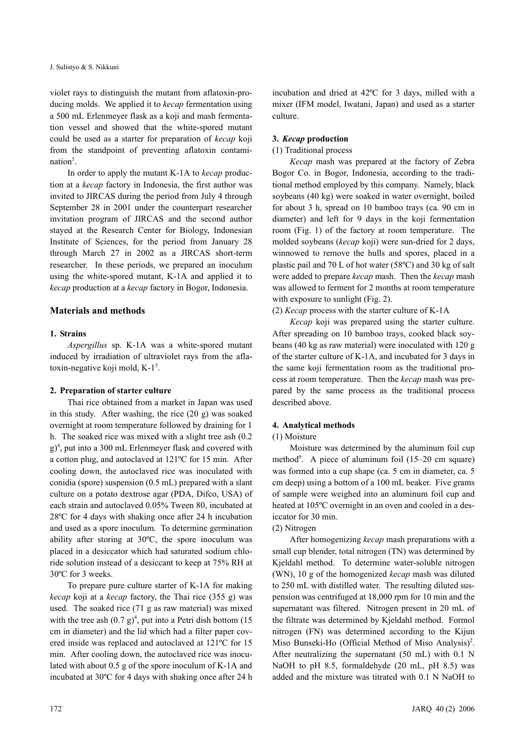violet rays to distinguish the mutant from aflatoxin-producing molds. We applied it to *kecap* fermentation using a 500 mL Erlenmeyer flask as a koji and mash fermentation vessel and showed that the white-spored mutant could be used as a starter for preparation of *kecap* koji from the standpoint of preventing aflatoxin contamination<sup>5</sup>.

In order to apply the mutant K-1A to *kecap* production at a *kecap* factory in Indonesia, the first author was invited to JIRCAS during the period from July 4 through September 28 in 2001 under the counterpart researcher invitation program of JIRCAS and the second author stayed at the Research Center for Biology, Indonesian Institute of Sciences, for the period from January 28 through March 27 in 2002 as a JIRCAS short-term researcher. In these periods, we prepared an inoculum using the white-spored mutant, K-1A and applied it to *kecap* production at a *kecap* factory in Bogor, Indonesia.

# **Materials and methods**

## **1. Strains**

*Aspergillus* sp. K-1A was a white-spored mutant induced by irradiation of ultraviolet rays from the aflatoxin-negative koji mold, K-1<sup>5</sup>.

# **2. Preparation of starter culture**

Thai rice obtained from a market in Japan was used in this study. After washing, the rice (20 g) was soaked overnight at room temperature followed by draining for 1 h. The soaked rice was mixed with a slight tree ash (0.2 g)<sup>4</sup>, put into a 300 mL Erlenmeyer flask and covered with a cotton plug, and autoclaved at 121ºC for 15 min. After cooling down, the autoclaved rice was inoculated with conidia (spore) suspension (0.5 mL) prepared with a slant culture on a potato dextrose agar (PDA, Difco, USA) of each strain and autoclaved 0.05% Tween 80, incubated at 28ºC for 4 days with shaking once after 24 h incubation and used as a spore inoculum. To determine germination ability after storing at 30ºC, the spore inoculum was placed in a desiccator which had saturated sodium chloride solution instead of a desiccant to keep at 75% RH at 30ºC for 3 weeks.

To prepare pure culture starter of K-1A for making *kecap* koji at a *kecap* factory, the Thai rice (355 g) was used. The soaked rice (71 g as raw material) was mixed with the tree ash  $(0.7 \text{ g})^4$ , put into a Petri dish bottom (15) cm in diameter) and the lid which had a filter paper covered inside was replaced and autoclaved at 121ºC for 15 min. After cooling down, the autoclaved rice was inoculated with about 0.5 g of the spore inoculum of K-1A and incubated at 30ºC for 4 days with shaking once after 24 h incubation and dried at 42ºC for 3 days, milled with a mixer (IFM model, Iwatani, Japan) and used as a starter culture.

# **3.** *Kecap* **production**

## (1) Traditional process

*Kecap* mash was prepared at the factory of Zebra Bogor Co. in Bogor, Indonesia, according to the traditional method employed by this company. Namely, black soybeans (40 kg) were soaked in water overnight, boiled for about 3 h, spread on 10 bamboo trays (ca. 90 cm in diameter) and left for 9 days in the koji fermentation room (Fig. 1) of the factory at room temperature. The molded soybeans (*kecap* koji) were sun-dried for 2 days, winnowed to remove the hulls and spores, placed in a plastic pail and 70 L of hot water (58ºC) and 30 kg of salt were added to prepare *kecap* mash. Then the *kecap* mash was allowed to ferment for 2 months at room temperature with exposure to sunlight (Fig. 2).

(2) *Kecap* process with the starter culture of K-1A

*Kecap* koji was prepared using the starter culture. After spreading on 10 bamboo trays, cooked black soybeans (40 kg as raw material) were inoculated with 120 g of the starter culture of K-1A, and incubated for 3 days in the same koji fermentation room as the traditional process at room temperature. Then the *kecap* mash was prepared by the same process as the traditional process described above.

## **4. Analytical methods**

## (1) Moisture

Moisture was determined by the aluminum foil cup method<sup>9</sup>. A piece of aluminum foil (15–20 cm square) was formed into a cup shape (ca. 5 cm in diameter, ca. 5 cm deep) using a bottom of a 100 mL beaker. Five grams of sample were weighed into an aluminum foil cup and heated at 105ºC overnight in an oven and cooled in a desiccator for 30 min.

## (2) Nitrogen

After homogenizing *kecap* mash preparations with a small cup blender, total nitrogen (TN) was determined by Kjeldahl method. To determine water-soluble nitrogen (WN), 10 g of the homogenized *kecap* mash was diluted to 250 mL with distilled water. The resulting diluted suspension was centrifuged at 18,000 rpm for 10 min and the supernatant was filtered. Nitrogen present in 20 mL of the filtrate was determined by Kjeldahl method. Formol nitrogen (FN) was determined according to the Kijun Miso Bunseki-Ho (Official Method of Miso Analysis)<sup>2</sup>. After neutralizing the supernatant (50 mL) with 0.1 N NaOH to pH 8.5, formaldehyde (20 mL, pH 8.5) was added and the mixture was titrated with 0.1 N NaOH to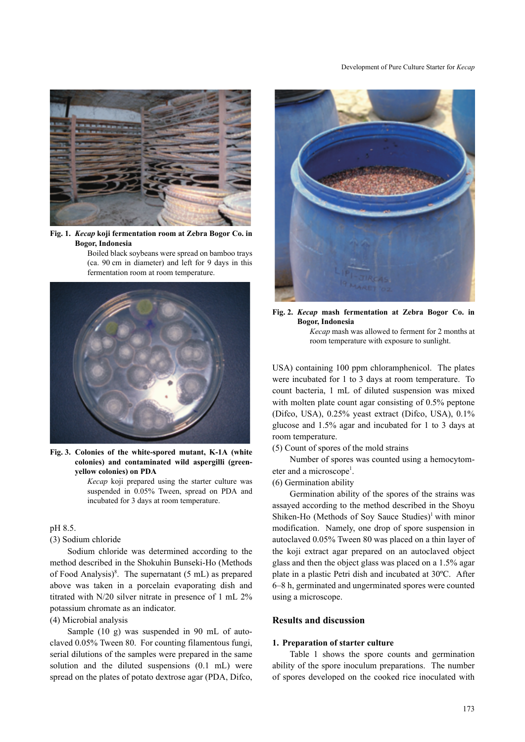

**Fig. 1.** *Kecap* **koji fermentation room at Zebra Bogor Co. in Bogor, Indonesia** 

Boiled black soybeans were spread on bamboo trays (ca. 90 cm in diameter) and left for 9 days in this fermentation room at room temperature.



**Fig. 3. Colonies of the white-spored mutant, K-1A (white colonies) and contaminated wild aspergilli (greenyellow colonies) on PDA**

*Kecap* koji prepared using the starter culture was suspended in 0.05% Tween, spread on PDA and incubated for 3 days at room temperature.

# pH 8.5.

# (3) Sodium chloride

Sodium chloride was determined according to the method described in the Shokuhin Bunseki-Ho (Methods of Food Analysis)<sup>8</sup>. The supernatant  $(5 \text{ mL})$  as prepared above was taken in a porcelain evaporating dish and titrated with N/20 silver nitrate in presence of 1 mL 2% potassium chromate as an indicator.

# (4) Microbial analysis

Sample (10 g) was suspended in 90 mL of autoclaved 0.05% Tween 80. For counting filamentous fungi, serial dilutions of the samples were prepared in the same solution and the diluted suspensions (0.1 mL) were spread on the plates of potato dextrose agar (PDA, Difco,



**Fig. 2.** *Kecap* **mash fermentation at Zebra Bogor Co. in Bogor, Indonesia** *Kecap* mash was allowed to ferment for 2 months at

room temperature with exposure to sunlight.

USA) containing 100 ppm chloramphenicol. The plates were incubated for 1 to 3 days at room temperature. To count bacteria, 1 mL of diluted suspension was mixed with molten plate count agar consisting of 0.5% peptone (Difco, USA), 0.25% yeast extract (Difco, USA), 0.1% glucose and 1.5% agar and incubated for 1 to 3 days at room temperature.

(5) Count of spores of the mold strains

Number of spores was counted using a hemocytometer and a microscope<sup>1</sup>.

# (6) Germination ability

Germination ability of the spores of the strains was assayed according to the method described in the Shoyu Shiken-Ho (Methods of Soy Sauce Studies) $<sup>1</sup>$  with minor</sup> modification. Namely, one drop of spore suspension in autoclaved 0.05% Tween 80 was placed on a thin layer of the koji extract agar prepared on an autoclaved object glass and then the object glass was placed on a 1.5% agar plate in a plastic Petri dish and incubated at 30ºC. After 6–8 h, germinated and ungerminated spores were counted using a microscope.

#### **Results and discussion**

#### **1. Preparation of starter culture**

Table 1 shows the spore counts and germination ability of the spore inoculum preparations. The number of spores developed on the cooked rice inoculated with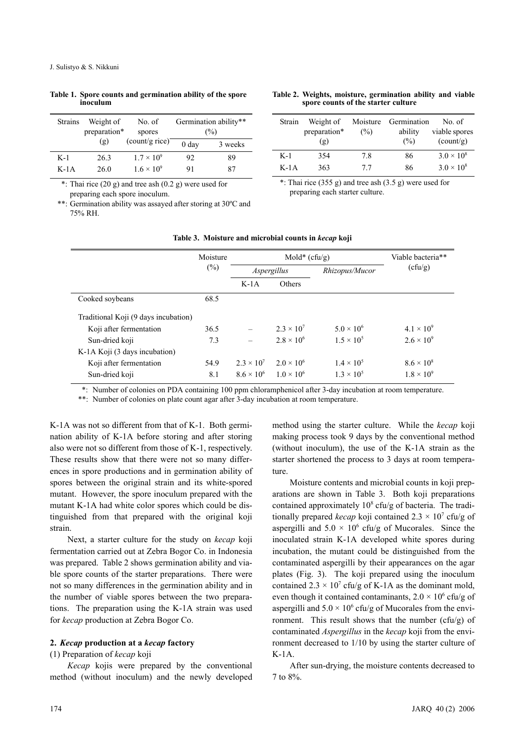| <b>Strains</b> | Weight of<br>preparation* | No. of<br>spores    | Germination ability**<br>$(\%)$ |         |  |
|----------------|---------------------------|---------------------|---------------------------------|---------|--|
|                | (g)                       | (count/g rice)      | 0 <sub>day</sub>                | 3 weeks |  |
| $K-1$          | 26.3                      | $1.7 \times 10^{9}$ | 92                              | 89      |  |
| $K-1A$         | 26.0                      | $1.6 \times 10^{9}$ | 91                              | 87      |  |

**Table 1. Spore counts and germination ability of the spore inoculum**

\*: Thai rice (20 g) and tree ash (0.2 g) were used for preparing each spore inoculum.

\*\*: Germination ability was assayed after storing at 30ºC and 75% RH.

#### **Table 2. Weights, moisture, germination ability and viable spore counts of the starter culture**

| Strain | Weight of<br>preparation*<br>(g) | Moisture<br>(%) | Germination<br>ability<br>(%) | No. of<br>viable spores<br>$\text{(count/g)}$ |
|--------|----------------------------------|-----------------|-------------------------------|-----------------------------------------------|
| $K-1$  | 354                              | 7.8             | 86                            | $3.0 \times 10^{8}$                           |
| $K-1A$ | 363                              | 77              | 86                            | $3.0 \times 10^8$                             |

\*: Thai rice  $(355 g)$  and tree ash  $(3.5 g)$  were used for preparing each starter culture.

|                                      | Moisture |                     | Mold* $(cfu/g)$     | Viable bacteria**   |                     |  |
|--------------------------------------|----------|---------------------|---------------------|---------------------|---------------------|--|
|                                      | $(\%)$   | Aspergillus         |                     | Rhizopus/Mucor      | (cfu/g)             |  |
|                                      |          | $K-1A$              | <b>Others</b>       |                     |                     |  |
| Cooked soybeans                      | 68.5     |                     |                     |                     |                     |  |
| Traditional Koji (9 days incubation) |          |                     |                     |                     |                     |  |
| Koji after fermentation              | 36.5     |                     | $2.3 \times 10^{7}$ | $5.0 \times 10^{6}$ | $4.1 \times 10^{9}$ |  |
| Sun-dried koji                       | 7.3      |                     | $2.8 \times 10^{6}$ | $1.5 \times 10^{5}$ | $2.6 \times 10^{9}$ |  |
| K-1A Koji (3 days incubation)        |          |                     |                     |                     |                     |  |
| Koji after fermentation              | 54.9     | $2.3 \times 10^{7}$ | $2.0 \times 10^{6}$ | $1.4 \times 10^{5}$ | $8.6 \times 10^8$   |  |
| Sun-dried koji                       | 8.1      | $8.6 \times 10^{6}$ | $1.0 \times 10^{6}$ | $1.3 \times 10^{5}$ | $1.8 \times 10^{9}$ |  |

#### **Table 3. Moisture and microbial counts in** *kecap* **koji**

\*: Number of colonies on PDA containing 100 ppm chloramphenicol after 3-day incubation at room temperature.

\*\*: Number of colonies on plate count agar after 3-day incubation at room temperature.

K-1A was not so different from that of K-1. Both germination ability of K-1A before storing and after storing also were not so different from those of K-1, respectively. These results show that there were not so many differences in spore productions and in germination ability of spores between the original strain and its white-spored mutant. However, the spore inoculum prepared with the mutant K-1A had white color spores which could be distinguished from that prepared with the original koji strain.

Next, a starter culture for the study on *kecap* koji fermentation carried out at Zebra Bogor Co. in Indonesia was prepared. Table 2 shows germination ability and viable spore counts of the starter preparations. There were not so many differences in the germination ability and in the number of viable spores between the two preparations. The preparation using the K-1A strain was used for *kecap* production at Zebra Bogor Co.

## **2.** *Kecap* **production at a** *kecap* **factory**

#### (1) Preparation of *kecap* koji

*Kecap* kojis were prepared by the conventional method (without inoculum) and the newly developed method using the starter culture. While the *kecap* koji making process took 9 days by the conventional method (without inoculum), the use of the K-1A strain as the starter shortened the process to 3 days at room temperature.

Moisture contents and microbial counts in koji preparations are shown in Table 3. Both koji preparations contained approximately  $10^8$  cfu/g of bacteria. The traditionally prepared *kecap* koji contained  $2.3 \times 10^7$  cfu/g of aspergilli and  $5.0 \times 10^6$  cfu/g of Mucorales. Since the inoculated strain K-1A developed white spores during incubation, the mutant could be distinguished from the contaminated aspergilli by their appearances on the agar plates (Fig. 3). The koji prepared using the inoculum contained  $2.3 \times 10^7$  cfu/g of K-1A as the dominant mold, even though it contained contaminants,  $2.0 \times 10^6$  cfu/g of aspergilli and  $5.0 \times 10^6$  cfu/g of Mucorales from the environment. This result shows that the number  $(cfu/g)$  of contaminated *Aspergillus* in the *kecap* koji from the environment decreased to 1/10 by using the starter culture of K-1A.

After sun-drying, the moisture contents decreased to 7 to 8%.